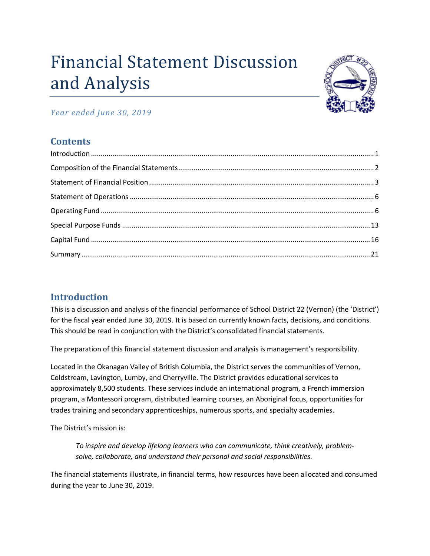# Financial Statement Discussion and Analysis



*Year ended June 30, 2019*

# **Contents**

# <span id="page-0-0"></span>**Introduction**

This is a discussion and analysis of the financial performance of School District 22 (Vernon) (the 'District') for the fiscal year ended June 30, 2019. It is based on currently known facts, decisions, and conditions. This should be read in conjunction with the District's consolidated financial statements.

The preparation of this financial statement discussion and analysis is management's responsibility.

Located in the Okanagan Valley of British Columbia, the District serves the communities of Vernon, Coldstream, Lavington, Lumby, and Cherryville. The District provides educational services to approximately 8,500 students. These services include an international program, a French immersion program, a Montessori program, distributed learning courses, an Aboriginal focus, opportunities for trades training and secondary apprenticeships, numerous sports, and specialty academies.

The District's mission is:

*To inspire and develop lifelong learners who can communicate, think creatively, problemsolve, collaborate, and understand their personal and social responsibilities.*

The financial statements illustrate, in financial terms, how resources have been allocated and consumed during the year to June 30, 2019.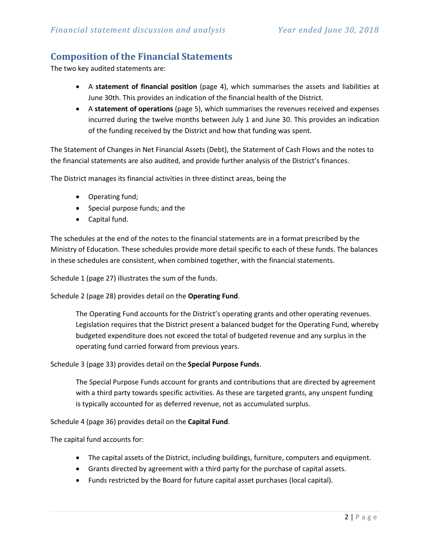#### <span id="page-1-0"></span>**Composition of the Financial Statements**

The two key audited statements are:

- A **statement of financial position** (page 4), which summarises the assets and liabilities at June 30th. This provides an indication of the financial health of the District.
- A **statement of operations** (page 5), which summarises the revenues received and expenses incurred during the twelve months between July 1 and June 30. This provides an indication of the funding received by the District and how that funding was spent.

The Statement of Changes in Net Financial Assets (Debt), the Statement of Cash Flows and the notes to the financial statements are also audited, and provide further analysis of the District's finances.

The District manages its financial activities in three distinct areas, being the

- Operating fund;
- Special purpose funds; and the
- Capital fund.

The schedules at the end of the notes to the financial statements are in a format prescribed by the Ministry of Education. These schedules provide more detail specific to each of these funds. The balances in these schedules are consistent, when combined together, with the financial statements.

Schedule 1 (page 27) illustrates the sum of the funds.

Schedule 2 (page 28) provides detail on the **Operating Fund**.

The Operating Fund accounts for the District's operating grants and other operating revenues. Legislation requires that the District present a balanced budget for the Operating Fund, whereby budgeted expenditure does not exceed the total of budgeted revenue and any surplus in the operating fund carried forward from previous years.

Schedule 3 (page 33) provides detail on the **Special Purpose Funds**.

The Special Purpose Funds account for grants and contributions that are directed by agreement with a third party towards specific activities. As these are targeted grants, any unspent funding is typically accounted for as deferred revenue, not as accumulated surplus.

Schedule 4 (page 36) provides detail on the **Capital Fund**.

The capital fund accounts for:

- The capital assets of the District, including buildings, furniture, computers and equipment.
- Grants directed by agreement with a third party for the purchase of capital assets.
- Funds restricted by the Board for future capital asset purchases (local capital).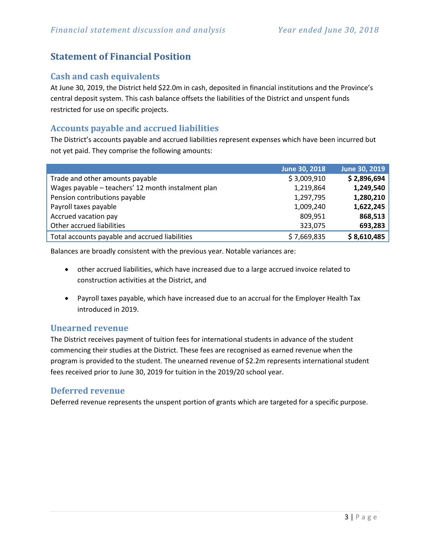## <span id="page-2-0"></span>**Statement of Financial Position**

#### **Cash and cash equivalents**

At June 30, 2019, the District held \$22.0m in cash, deposited in financial institutions and the Province's central deposit system. This cash balance offsets the liabilities of the District and unspent funds restricted for use on specific projects.

#### **Accounts payable and accrued liabilities**

The District's accounts payable and accrued liabilities represent expenses which have been incurred but not yet paid. They comprise the following amounts:

|                                                    | June 30, 2018 | June 30, 2019 |
|----------------------------------------------------|---------------|---------------|
| Trade and other amounts payable                    | \$3,009,910   | \$2,896,694   |
| Wages payable - teachers' 12 month instalment plan | 1,219,864     | 1,249,540     |
| Pension contributions payable                      | 1,297,795     | 1,280,210     |
| Payroll taxes payable                              | 1,009,240     | 1,622,245     |
| Accrued vacation pay                               | 809,951       | 868,513       |
| Other accrued liabilities                          | 323,075       | 693,283       |
| Total accounts payable and accrued liabilities     | \$7,669,835   | \$8,610,485   |

Balances are broadly consistent with the previous year. Notable variances are:

- other accrued liabilities, which have increased due to a large accrued invoice related to construction activities at the District, and
- Payroll taxes payable, which have increased due to an accrual for the Employer Health Tax introduced in 2019.

#### **Unearned revenue**

The District receives payment of tuition fees for international students in advance of the student commencing their studies at the District. These fees are recognised as earned revenue when the program is provided to the student. The unearned revenue of \$2.2m represents international student fees received prior to June 30, 2019 for tuition in the 2019/20 school year.

#### **Deferred revenue**

Deferred revenue represents the unspent portion of grants which are targeted for a specific purpose.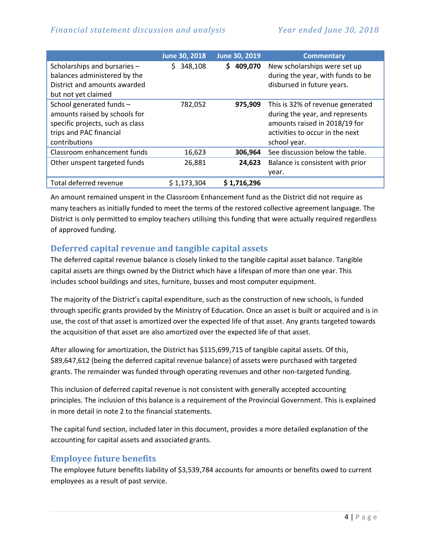|                                  | June 30, 2018 | June 30, 2019 | <b>Commentary</b>                 |
|----------------------------------|---------------|---------------|-----------------------------------|
| Scholarships and bursaries -     | 348,108<br>S. | 409,070<br>S. | New scholarships were set up      |
| balances administered by the     |               |               | during the year, with funds to be |
| District and amounts awarded     |               |               | disbursed in future years.        |
| but not yet claimed              |               |               |                                   |
| School generated funds -         | 782,052       | 975,909       | This is 32% of revenue generated  |
| amounts raised by schools for    |               |               | during the year, and represents   |
| specific projects, such as class |               |               | amounts raised in 2018/19 for     |
| trips and PAC financial          |               |               | activities to occur in the next   |
| contributions                    |               |               | school year.                      |
| Classroom enhancement funds      | 16,623        | 306,964       | See discussion below the table.   |
| Other unspent targeted funds     | 26,881        | 24,623        | Balance is consistent with prior  |
|                                  |               |               | year.                             |
| Total deferred revenue           | \$1,173,304   | \$1,716,296   |                                   |

An amount remained unspent in the Classroom Enhancement fund as the District did not require as many teachers as initially funded to meet the terms of the restored collective agreement language. The District is only permitted to employ teachers utilising this funding that were actually required regardless of approved funding.

#### **Deferred capital revenue and tangible capital assets**

The deferred capital revenue balance is closely linked to the tangible capital asset balance. Tangible capital assets are things owned by the District which have a lifespan of more than one year. This includes school buildings and sites, furniture, busses and most computer equipment.

The majority of the District's capital expenditure, such as the construction of new schools, is funded through specific grants provided by the Ministry of Education. Once an asset is built or acquired and is in use, the cost of that asset is amortized over the expected life of that asset. Any grants targeted towards the acquisition of that asset are also amortized over the expected life of that asset.

After allowing for amortization, the District has \$115,699,715 of tangible capital assets. Of this, \$89,647,612 (being the deferred capital revenue balance) of assets were purchased with targeted grants. The remainder was funded through operating revenues and other non-targeted funding.

This inclusion of deferred capital revenue is not consistent with generally accepted accounting principles. The inclusion of this balance is a requirement of the Provincial Government. This is explained in more detail in note 2 to the financial statements.

The capital fund section, included later in this document, provides a more detailed explanation of the accounting for capital assets and associated grants.

#### **Employee future benefits**

The employee future benefits liability of \$3,539,784 accounts for amounts or benefits owed to current employees as a result of past service.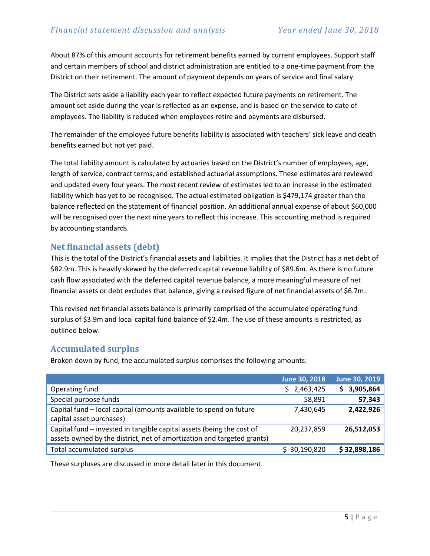About 87% of this amount accounts for retirement benefits earned by current employees. Support staff and certain members of school and district administration are entitled to a one-time payment from the District on their retirement. The amount of payment depends on years of service and final salary.

The District sets aside a liability each year to reflect expected future payments on retirement. The amount set aside during the year is reflected as an expense, and is based on the service to date of employees. The liability is reduced when employees retire and payments are disbursed.

The remainder of the employee future benefits liability is associated with teachers' sick leave and death benefits earned but not yet paid.

The total liability amount is calculated by actuaries based on the District's number of employees, age, length of service, contract terms, and established actuarial assumptions. These estimates are reviewed and updated every four years. The most recent review of estimates led to an increase in the estimated liability which has yet to be recognised. The actual estimated obligation is \$479,174 greater than the balance reflected on the statement of financial position. An additional annual expense of about \$60,000 will be recognised over the next nine years to reflect this increase. This accounting method is required by accounting standards.

#### **Net financial assets (debt)**

This is the total of the District's financial assets and liabilities. It implies that the District has a net debt of \$82.9m. This is heavily skewed by the deferred capital revenue liability of \$89.6m. As there is no future cash flow associated with the deferred capital revenue balance, a more meaningful measure of net financial assets or debt excludes that balance, giving a revised figure of net financial assets of \$6.7m.

This revised net financial assets balance is primarily comprised of the accumulated operating fund surplus of \$3.9m and local capital fund balance of \$2.4m. The use of these amounts is restricted, as outlined below.

#### **Accumulated surplus**

Broken down by fund, the accumulated surplus comprises the following amounts:

|                                                                        | June 30, 2018   | June 30, 2019  |
|------------------------------------------------------------------------|-----------------|----------------|
| Operating fund                                                         | 2,463,425<br>S. | 3,905,864<br>S |
| Special purpose funds                                                  | 58,891          | 57,343         |
| Capital fund - local capital (amounts available to spend on future     | 7,430,645       | 2,422,926      |
| capital asset purchases)                                               |                 |                |
| Capital fund – invested in tangible capital assets (being the cost of  | 20,237,859      | 26,512,053     |
| assets owned by the district, net of amortization and targeted grants) |                 |                |
| Total accumulated surplus                                              | \$30,190,820    | \$32,898,186   |
|                                                                        |                 |                |

These surpluses are discussed in more detail later in this document.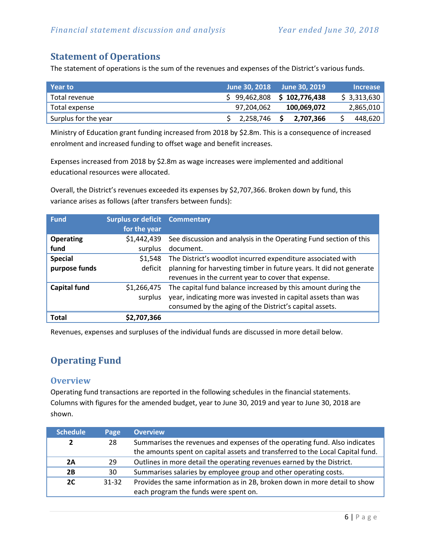### <span id="page-5-0"></span>**Statement of Operations**

The statement of operations is the sum of the revenues and expenses of the District's various funds.

| Year to              | <b>June 30, 2018</b> | <b>June 30, 2019</b>         | <b>Increase</b> |
|----------------------|----------------------|------------------------------|-----------------|
| Total revenue        |                      | $$99,462,808$ $$102,776,438$ | \$3,313,630     |
| Total expense        | 97,204,062           | 100,069,072                  | 2,865,010       |
| Surplus for the year | 2,258,746            | 2,707,366                    | 448,620         |

Ministry of Education grant funding increased from 2018 by \$2.8m. This is a consequence of increased enrolment and increased funding to offset wage and benefit increases.

Expenses increased from 2018 by \$2.8m as wage increases were implemented and additional educational resources were allocated.

Overall, the District's revenues exceeded its expenses by \$2,707,366. Broken down by fund, this variance arises as follows (after transfers between funds):

| <b>Fund</b>                     | <b>Surplus or deficit Commentary</b><br>for the year |                                                                                                                                                                                           |
|---------------------------------|------------------------------------------------------|-------------------------------------------------------------------------------------------------------------------------------------------------------------------------------------------|
| <b>Operating</b><br>fund        | \$1,442,439<br>surplus                               | See discussion and analysis in the Operating Fund section of this<br>document.                                                                                                            |
| <b>Special</b><br>purpose funds | \$1,548<br>deficit                                   | The District's woodlot incurred expenditure associated with<br>planning for harvesting timber in future years. It did not generate<br>revenues in the current year to cover that expense. |
| <b>Capital fund</b>             | \$1,266,475<br>surplus                               | The capital fund balance increased by this amount during the<br>year, indicating more was invested in capital assets than was<br>consumed by the aging of the District's capital assets.  |
| Total                           | \$2,707,366                                          |                                                                                                                                                                                           |

Revenues, expenses and surpluses of the individual funds are discussed in more detail below.

# <span id="page-5-1"></span>**Operating Fund**

#### **Overview**

Operating fund transactions are reported in the following schedules in the financial statements. Columns with figures for the amended budget, year to June 30, 2019 and year to June 30, 2018 are shown.

| <b>Schedule</b> | Page      | <b>Overview</b>                                                                |
|-----------------|-----------|--------------------------------------------------------------------------------|
| 2               | 28        | Summarises the revenues and expenses of the operating fund. Also indicates     |
|                 |           | the amounts spent on capital assets and transferred to the Local Capital fund. |
| 2A              | 29        | Outlines in more detail the operating revenues earned by the District.         |
| 2B              | 30        | Summarises salaries by employee group and other operating costs.               |
| 2C              | $31 - 32$ | Provides the same information as in 2B, broken down in more detail to show     |
|                 |           | each program the funds were spent on.                                          |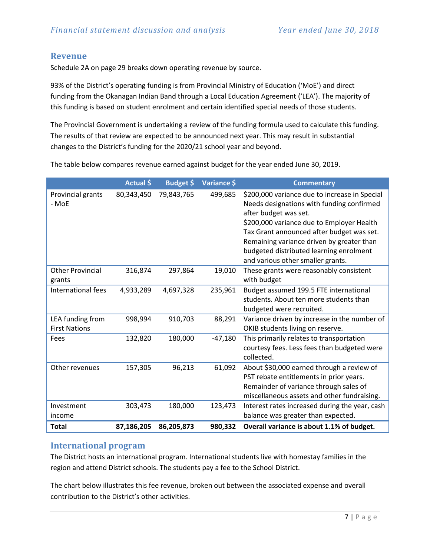#### **Revenue**

Schedule 2A on page 29 breaks down operating revenue by source.

93% of the District's operating funding is from Provincial Ministry of Education ('MoE') and direct funding from the Okanagan Indian Band through a Local Education Agreement ('LEA'). The majority of this funding is based on student enrolment and certain identified special needs of those students.

The Provincial Government is undertaking a review of the funding formula used to calculate this funding. The results of that review are expected to be announced next year. This may result in substantial changes to the District's funding for the 2020/21 school year and beyond.

The table below compares revenue earned against budget for the year ended June 30, 2019.

|                                          | <b>Actual</b> \$ | Budget \$  | Variance \$ | <b>Commentary</b>                                                                                                                                                                                                                                                                                                                          |
|------------------------------------------|------------------|------------|-------------|--------------------------------------------------------------------------------------------------------------------------------------------------------------------------------------------------------------------------------------------------------------------------------------------------------------------------------------------|
| Provincial grants<br>- MoE               | 80,343,450       | 79,843,765 | 499,685     | \$200,000 variance due to increase in Special<br>Needs designations with funding confirmed<br>after budget was set.<br>\$200,000 variance due to Employer Health<br>Tax Grant announced after budget was set.<br>Remaining variance driven by greater than<br>budgeted distributed learning enrolment<br>and various other smaller grants. |
| <b>Other Provincial</b><br>grants        | 316,874          | 297,864    | 19,010      | These grants were reasonably consistent<br>with budget                                                                                                                                                                                                                                                                                     |
| International fees                       | 4,933,289        | 4,697,328  | 235,961     | Budget assumed 199.5 FTE international<br>students. About ten more students than<br>budgeted were recruited.                                                                                                                                                                                                                               |
| LEA funding from<br><b>First Nations</b> | 998,994          | 910,703    | 88,291      | Variance driven by increase in the number of<br>OKIB students living on reserve.                                                                                                                                                                                                                                                           |
| Fees                                     | 132,820          | 180,000    | $-47,180$   | This primarily relates to transportation<br>courtesy fees. Less fees than budgeted were<br>collected.                                                                                                                                                                                                                                      |
| Other revenues                           | 157,305          | 96,213     | 61,092      | About \$30,000 earned through a review of<br>PST rebate entitlements in prior years.<br>Remainder of variance through sales of<br>miscellaneous assets and other fundraising.                                                                                                                                                              |
| Investment<br>income                     | 303,473          | 180,000    | 123,473     | Interest rates increased during the year, cash<br>balance was greater than expected.                                                                                                                                                                                                                                                       |
| <b>Total</b>                             | 87,186,205       | 86,205,873 | 980,332     | Overall variance is about 1.1% of budget.                                                                                                                                                                                                                                                                                                  |

#### **International program**

The District hosts an international program. International students live with homestay families in the region and attend District schools. The students pay a fee to the School District.

The chart below illustrates this fee revenue, broken out between the associated expense and overall contribution to the District's other activities.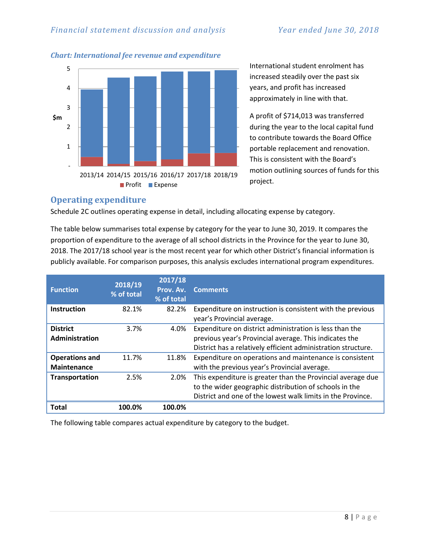#### *Financial statement discussion and analysis Year ended June 30, 2018*

*Chart: International fee revenue and expenditure*

# - 1 2 3 4 5 2013/14 2014/15 2015/16 2016/17 2017/18 2018/19 **\$m Profit** Expense

International student enrolment has increased steadily over the past six years, and profit has increased approximately in line with that.

A profit of \$714,013 was transferred during the year to the local capital fund to contribute towards the Board Office portable replacement and renovation. This is consistent with the Board's motion outlining sources of funds for this project.

#### **Operating expenditure**

Schedule 2C outlines operating expense in detail, including allocating expense by category.

The table below summarises total expense by category for the year to June 30, 2019. It compares the proportion of expenditure to the average of all school districts in the Province for the year to June 30, 2018. The 2017/18 school year is the most recent year for which other District's financial information is publicly available. For comparison purposes, this analysis excludes international program expenditures.

| <b>Function</b>                             | 2018/19<br>% of total | 2017/18<br>Prov. Av.<br>% of total | <b>Comments</b>                                                                                                                                                                      |
|---------------------------------------------|-----------------------|------------------------------------|--------------------------------------------------------------------------------------------------------------------------------------------------------------------------------------|
| <b>Instruction</b>                          | 82.1%                 | 82.2%                              | Expenditure on instruction is consistent with the previous<br>year's Provincial average.                                                                                             |
| <b>District</b><br>Administration           | 3.7%                  | 4.0%                               | Expenditure on district administration is less than the<br>previous year's Provincial average. This indicates the<br>District has a relatively efficient administration structure.   |
| <b>Operations and</b><br><b>Maintenance</b> | 11.7%                 | 11.8%                              | Expenditure on operations and maintenance is consistent<br>with the previous year's Provincial average.                                                                              |
| <b>Transportation</b>                       | 2.5%                  | 2.0%                               | This expenditure is greater than the Provincial average due<br>to the wider geographic distribution of schools in the<br>District and one of the lowest walk limits in the Province. |
| Total                                       | 100.0%                | 100.0%                             |                                                                                                                                                                                      |

The following table compares actual expenditure by category to the budget.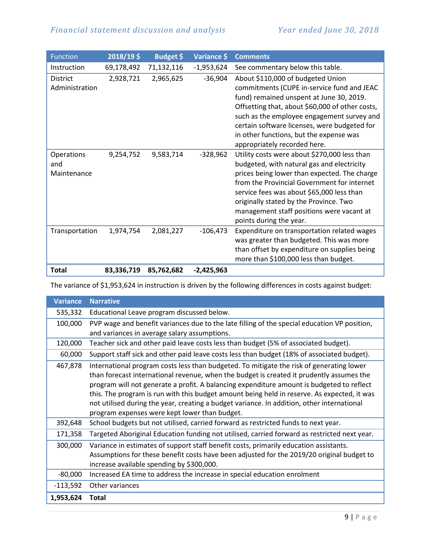| <b>Function</b>                   | 2018/19\$  | Budget \$  | Variance \$  | <b>Comments</b>                                                                                                                                                                                                                                                                                                                                          |
|-----------------------------------|------------|------------|--------------|----------------------------------------------------------------------------------------------------------------------------------------------------------------------------------------------------------------------------------------------------------------------------------------------------------------------------------------------------------|
| Instruction                       | 69,178,492 | 71,132,116 | $-1,953,624$ | See commentary below this table.                                                                                                                                                                                                                                                                                                                         |
| <b>District</b><br>Administration | 2,928,721  | 2,965,625  | $-36,904$    | About \$110,000 of budgeted Union<br>commitments (CUPE in-service fund and JEAC<br>fund) remained unspent at June 30, 2019.<br>Offsetting that, about \$60,000 of other costs,<br>such as the employee engagement survey and<br>certain software licenses, were budgeted for<br>in other functions, but the expense was<br>appropriately recorded here.  |
| Operations<br>and<br>Maintenance  | 9,254,752  | 9,583,714  | $-328,962$   | Utility costs were about \$270,000 less than<br>budgeted, with natural gas and electricity<br>prices being lower than expected. The charge<br>from the Provincial Government for internet<br>service fees was about \$65,000 less than<br>originally stated by the Province. Two<br>management staff positions were vacant at<br>points during the year. |
| Transportation                    | 1,974,754  | 2,081,227  | $-106,473$   | Expenditure on transportation related wages<br>was greater than budgeted. This was more<br>than offset by expenditure on supplies being<br>more than \$100,000 less than budget.                                                                                                                                                                         |
| <b>Total</b>                      | 83,336,719 | 85,762,682 | $-2,425,963$ |                                                                                                                                                                                                                                                                                                                                                          |

The variance of \$1,953,624 in instruction is driven by the following differences in costs against budget:

| <b>Variance</b> | <b>Narrative</b>                                                                                                                                                                                                                                                                                                                                                                                                                                                                                                                |
|-----------------|---------------------------------------------------------------------------------------------------------------------------------------------------------------------------------------------------------------------------------------------------------------------------------------------------------------------------------------------------------------------------------------------------------------------------------------------------------------------------------------------------------------------------------|
| 535,332         | Educational Leave program discussed below.                                                                                                                                                                                                                                                                                                                                                                                                                                                                                      |
| 100,000         | PVP wage and benefit variances due to the late filling of the special education VP position,                                                                                                                                                                                                                                                                                                                                                                                                                                    |
|                 | and variances in average salary assumptions.                                                                                                                                                                                                                                                                                                                                                                                                                                                                                    |
| 120,000         | Teacher sick and other paid leave costs less than budget (5% of associated budget).                                                                                                                                                                                                                                                                                                                                                                                                                                             |
| 60,000          | Support staff sick and other paid leave costs less than budget (18% of associated budget).                                                                                                                                                                                                                                                                                                                                                                                                                                      |
| 467,878         | International program costs less than budgeted. To mitigate the risk of generating lower<br>than forecast international revenue, when the budget is created it prudently assumes the<br>program will not generate a profit. A balancing expenditure amount is budgeted to reflect<br>this. The program is run with this budget amount being held in reserve. As expected, it was<br>not utilised during the year, creating a budget variance. In addition, other international<br>program expenses were kept lower than budget. |
| 392,648         | School budgets but not utilised, carried forward as restricted funds to next year.                                                                                                                                                                                                                                                                                                                                                                                                                                              |
| 171,358         | Targeted Aboriginal Education funding not utilised, carried forward as restricted next year.                                                                                                                                                                                                                                                                                                                                                                                                                                    |
| 300,000         | Variance in estimates of support staff benefit costs, primarily education assistants.<br>Assumptions for these benefit costs have been adjusted for the 2019/20 original budget to<br>increase available spending by \$300,000.                                                                                                                                                                                                                                                                                                 |
| $-80,000$       | Increased EA time to address the increase in special education enrolment                                                                                                                                                                                                                                                                                                                                                                                                                                                        |
| $-113,592$      | Other variances                                                                                                                                                                                                                                                                                                                                                                                                                                                                                                                 |
| 1,953,624       | <b>Total</b>                                                                                                                                                                                                                                                                                                                                                                                                                                                                                                                    |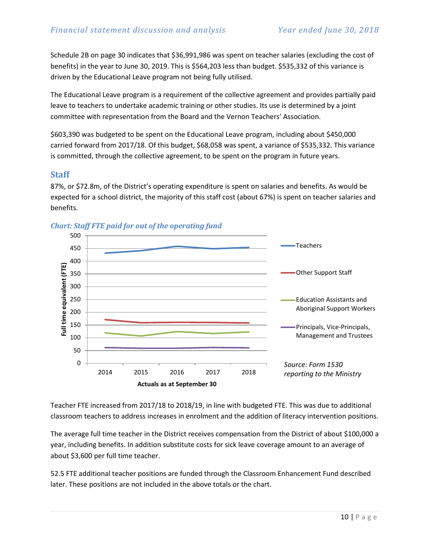Schedule 2B on page 30 indicates that \$36,991,986 was spent on teacher salaries (excluding the cost of benefits) in the year to June 30, 2019. This is \$564,203 less than budget. \$535,332 of this variance is driven by the Educational Leave program not being fully utilised.

The Educational Leave program is a requirement of the collective agreement and provides partially paid leave to teachers to undertake academic training or other studies. Its use is determined by a joint committee with representation from the Board and the Vernon Teachers' Association.

\$603,390 was budgeted to be spent on the Educational Leave program, including about \$450,000 carried forward from 2017/18. Of this budget, \$68,058 was spent, a variance of \$535,332. This variance is committed, through the collective agreement, to be spent on the program in future years.

#### **Staff**

87%, or \$72.8m, of the District's operating expenditure is spent on salaries and benefits. As would be expected for a school district, the majority of this staff cost (about 67%) is spent on teacher salaries and benefits.





Teacher FTE increased from 2017/18 to 2018/19, in line with budgeted FTE. This was due to additional classroom teachers to address increases in enrolment and the addition of literacy intervention positions.

The average full time teacher in the District receives compensation from the District of about \$100,000 a year, including benefits. In addition substitute costs for sick leave coverage amount to an average of about \$3,600 per full time teacher.

52.5 FTE additional teacher positions are funded through the Classroom Enhancement Fund described later. These positions are not included in the above totals or the chart.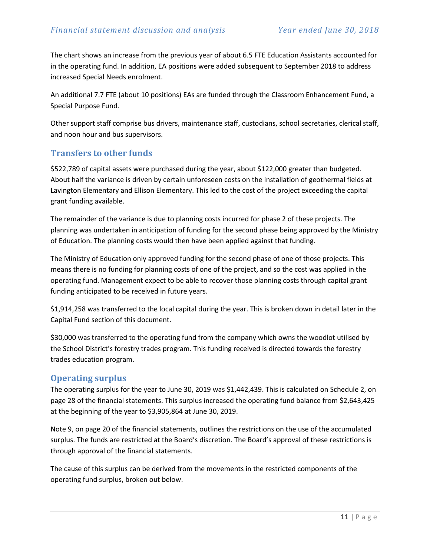The chart shows an increase from the previous year of about 6.5 FTE Education Assistants accounted for in the operating fund. In addition, EA positions were added subsequent to September 2018 to address increased Special Needs enrolment.

An additional 7.7 FTE (about 10 positions) EAs are funded through the Classroom Enhancement Fund, a Special Purpose Fund.

Other support staff comprise bus drivers, maintenance staff, custodians, school secretaries, clerical staff, and noon hour and bus supervisors.

#### **Transfers to other funds**

\$522,789 of capital assets were purchased during the year, about \$122,000 greater than budgeted. About half the variance is driven by certain unforeseen costs on the installation of geothermal fields at Lavington Elementary and Ellison Elementary. This led to the cost of the project exceeding the capital grant funding available.

The remainder of the variance is due to planning costs incurred for phase 2 of these projects. The planning was undertaken in anticipation of funding for the second phase being approved by the Ministry of Education. The planning costs would then have been applied against that funding.

The Ministry of Education only approved funding for the second phase of one of those projects. This means there is no funding for planning costs of one of the project, and so the cost was applied in the operating fund. Management expect to be able to recover those planning costs through capital grant funding anticipated to be received in future years.

\$1,914,258 was transferred to the local capital during the year. This is broken down in detail later in the Capital Fund section of this document.

\$30,000 was transferred to the operating fund from the company which owns the woodlot utilised by the School District's forestry trades program. This funding received is directed towards the forestry trades education program.

#### **Operating surplus**

The operating surplus for the year to June 30, 2019 was \$1,442,439. This is calculated on Schedule 2, on page 28 of the financial statements. This surplus increased the operating fund balance from \$2,643,425 at the beginning of the year to \$3,905,864 at June 30, 2019.

Note 9, on page 20 of the financial statements, outlines the restrictions on the use of the accumulated surplus. The funds are restricted at the Board's discretion. The Board's approval of these restrictions is through approval of the financial statements.

The cause of this surplus can be derived from the movements in the restricted components of the operating fund surplus, broken out below.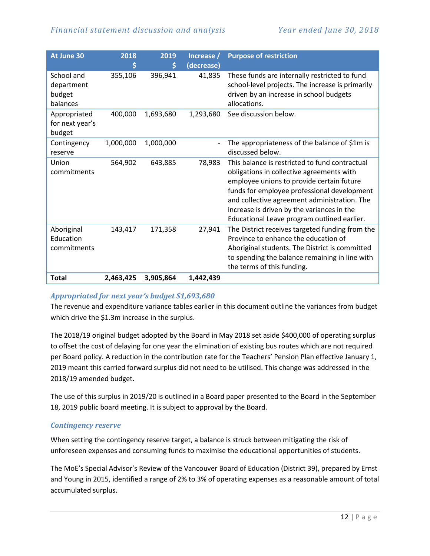| At June 30                                     | 2018<br>\$ | 2019<br>\$ | Increase /<br>(decrease) | <b>Purpose of restriction</b>                                                                                                                                                                                                                                                                                                        |
|------------------------------------------------|------------|------------|--------------------------|--------------------------------------------------------------------------------------------------------------------------------------------------------------------------------------------------------------------------------------------------------------------------------------------------------------------------------------|
| School and<br>department<br>budget<br>balances | 355,106    | 396,941    | 41,835                   | These funds are internally restricted to fund<br>school-level projects. The increase is primarily<br>driven by an increase in school budgets<br>allocations.                                                                                                                                                                         |
| Appropriated<br>for next year's<br>budget      | 400,000    | 1,693,680  | 1,293,680                | See discussion below.                                                                                                                                                                                                                                                                                                                |
| Contingency<br>reserve                         | 1,000,000  | 1,000,000  |                          | The appropriateness of the balance of \$1m is<br>discussed below.                                                                                                                                                                                                                                                                    |
| Union<br>commitments                           | 564,902    | 643,885    | 78,983                   | This balance is restricted to fund contractual<br>obligations in collective agreements with<br>employee unions to provide certain future<br>funds for employee professional development<br>and collective agreement administration. The<br>increase is driven by the variances in the<br>Educational Leave program outlined earlier. |
| Aboriginal<br>Education<br>commitments         | 143,417    | 171,358    | 27,941                   | The District receives targeted funding from the<br>Province to enhance the education of<br>Aboriginal students. The District is committed<br>to spending the balance remaining in line with<br>the terms of this funding.                                                                                                            |
| Total                                          | 2,463,425  | 3,905,864  | 1,442,439                |                                                                                                                                                                                                                                                                                                                                      |

#### *Appropriated for next year's budget \$1,693,680*

The revenue and expenditure variance tables earlier in this document outline the variances from budget which drive the \$1.3m increase in the surplus.

The 2018/19 original budget adopted by the Board in May 2018 set aside \$400,000 of operating surplus to offset the cost of delaying for one year the elimination of existing bus routes which are not required per Board policy. A reduction in the contribution rate for the Teachers' Pension Plan effective January 1, 2019 meant this carried forward surplus did not need to be utilised. This change was addressed in the 2018/19 amended budget.

The use of this surplus in 2019/20 is outlined in a Board paper presented to the Board in the September 18, 2019 public board meeting. It is subject to approval by the Board.

#### *Contingency reserve*

When setting the contingency reserve target, a balance is struck between mitigating the risk of unforeseen expenses and consuming funds to maximise the educational opportunities of students.

The MoE's Special Advisor's Review of the Vancouver Board of Education (District 39), prepared by Ernst and Young in 2015, identified a range of 2% to 3% of operating expenses as a reasonable amount of total accumulated surplus.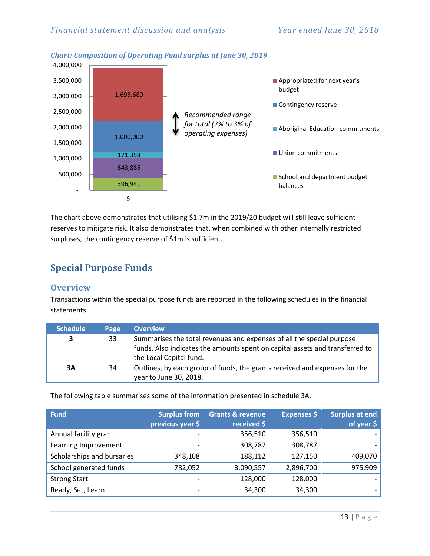

#### The chart above demonstrates that utilising \$1.7m in the 2019/20 budget will still leave sufficient reserves to mitigate risk. It also demonstrates that, when combined with other internally restricted surpluses, the contingency reserve of \$1m is sufficient.

## <span id="page-12-0"></span>**Special Purpose Funds**

#### **Overview**

Transactions within the special purpose funds are reported in the following schedules in the financial statements.

| <b>Schedule</b> | Page | <b>Overview</b>                                                                                                                                                                  |
|-----------------|------|----------------------------------------------------------------------------------------------------------------------------------------------------------------------------------|
| 3               | 33   | Summarises the total revenues and expenses of all the special purpose<br>funds. Also indicates the amounts spent on capital assets and transferred to<br>the Local Capital fund. |
| 3A              | 34   | Outlines, by each group of funds, the grants received and expenses for the<br>year to June 30, 2018.                                                                             |

The following table summarises some of the information presented in schedule 3A.

| <b>Fund</b>                | <b>Surplus from</b><br>previous year \$ | <b>Grants &amp; revenue</b><br>received \$ | <b>Expenses</b> \$ | <b>Surplus at end</b><br>of year $$$ |
|----------------------------|-----------------------------------------|--------------------------------------------|--------------------|--------------------------------------|
| Annual facility grant      |                                         | 356,510                                    | 356,510            |                                      |
| Learning Improvement       |                                         | 308,787                                    | 308,787            |                                      |
| Scholarships and bursaries | 348,108                                 | 188,112                                    | 127,150            | 409,070                              |
| School generated funds     | 782,052                                 | 3,090,557                                  | 2,896,700          | 975,909                              |
| <b>Strong Start</b>        |                                         | 128,000                                    | 128,000            |                                      |
| Ready, Set, Learn          | -                                       | 34,300                                     | 34,300             |                                      |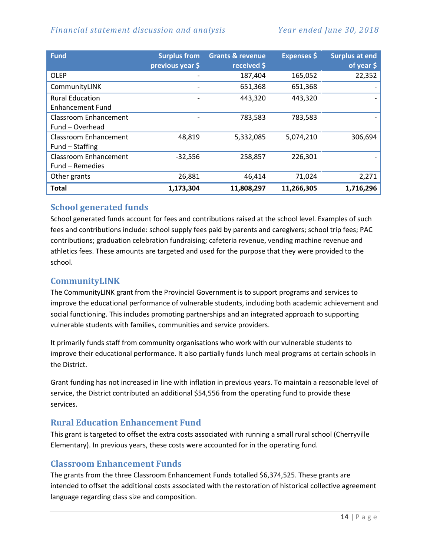#### *Financial statement discussion and analysis Year ended June 30, 2018*

| <b>Fund</b>                                       | <b>Surplus from</b><br>previous year \$ | <b>Grants &amp; revenue</b><br>received \$ | <b>Expenses</b> \$ | <b>Surplus at end</b><br>of year \$ |
|---------------------------------------------------|-----------------------------------------|--------------------------------------------|--------------------|-------------------------------------|
| <b>OLEP</b>                                       |                                         | 187,404                                    | 165,052            | 22,352                              |
| CommunityLINK                                     |                                         | 651,368                                    | 651,368            |                                     |
| <b>Rural Education</b><br><b>Enhancement Fund</b> |                                         | 443,320                                    | 443,320            |                                     |
| <b>Classroom Enhancement</b><br>Fund – Overhead   |                                         | 783,583                                    | 783,583            |                                     |
| Classroom Enhancement<br>Fund - Staffing          | 48,819                                  | 5,332,085                                  | 5,074,210          | 306,694                             |
| <b>Classroom Enhancement</b><br>Fund – Remedies   | $-32,556$                               | 258,857                                    | 226,301            |                                     |
| Other grants                                      | 26,881                                  | 46,414                                     | 71,024             | 2,271                               |
| <b>Total</b>                                      | 1,173,304                               | 11,808,297                                 | 11,266,305         | 1,716,296                           |

#### **School generated funds**

School generated funds account for fees and contributions raised at the school level. Examples of such fees and contributions include: school supply fees paid by parents and caregivers; school trip fees; PAC contributions; graduation celebration fundraising; cafeteria revenue, vending machine revenue and athletics fees. These amounts are targeted and used for the purpose that they were provided to the school.

#### **CommunityLINK**

The CommunityLINK grant from the Provincial Government is to support programs and services to improve the educational performance of vulnerable students, including both academic achievement and social functioning. This includes promoting partnerships and an integrated approach to supporting vulnerable students with families, communities and service providers.

It primarily funds staff from community organisations who work with our vulnerable students to improve their educational performance. It also partially funds lunch meal programs at certain schools in the District.

Grant funding has not increased in line with inflation in previous years. To maintain a reasonable level of service, the District contributed an additional \$54,556 from the operating fund to provide these services.

#### **Rural Education Enhancement Fund**

This grant is targeted to offset the extra costs associated with running a small rural school (Cherryville Elementary). In previous years, these costs were accounted for in the operating fund.

#### **Classroom Enhancement Funds**

The grants from the three Classroom Enhancement Funds totalled \$6,374,525. These grants are intended to offset the additional costs associated with the restoration of historical collective agreement language regarding class size and composition.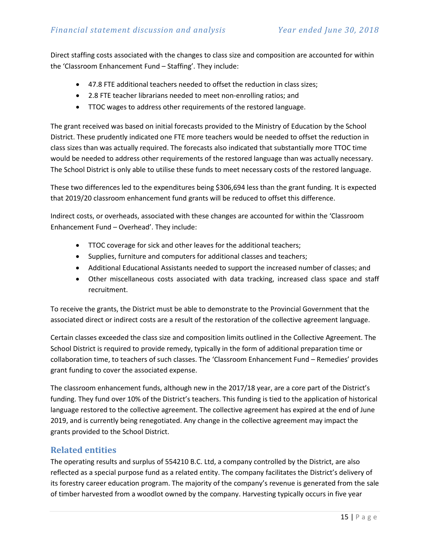Direct staffing costs associated with the changes to class size and composition are accounted for within the 'Classroom Enhancement Fund – Staffing'. They include:

- 47.8 FTE additional teachers needed to offset the reduction in class sizes;
- 2.8 FTE teacher librarians needed to meet non-enrolling ratios; and
- TTOC wages to address other requirements of the restored language.

The grant received was based on initial forecasts provided to the Ministry of Education by the School District. These prudently indicated one FTE more teachers would be needed to offset the reduction in class sizes than was actually required. The forecasts also indicated that substantially more TTOC time would be needed to address other requirements of the restored language than was actually necessary. The School District is only able to utilise these funds to meet necessary costs of the restored language.

These two differences led to the expenditures being \$306,694 less than the grant funding. It is expected that 2019/20 classroom enhancement fund grants will be reduced to offset this difference.

Indirect costs, or overheads, associated with these changes are accounted for within the 'Classroom Enhancement Fund – Overhead'. They include:

- TTOC coverage for sick and other leaves for the additional teachers;
- Supplies, furniture and computers for additional classes and teachers;
- Additional Educational Assistants needed to support the increased number of classes; and
- Other miscellaneous costs associated with data tracking, increased class space and staff recruitment.

To receive the grants, the District must be able to demonstrate to the Provincial Government that the associated direct or indirect costs are a result of the restoration of the collective agreement language.

Certain classes exceeded the class size and composition limits outlined in the Collective Agreement. The School District is required to provide remedy, typically in the form of additional preparation time or collaboration time, to teachers of such classes. The 'Classroom Enhancement Fund – Remedies' provides grant funding to cover the associated expense.

The classroom enhancement funds, although new in the 2017/18 year, are a core part of the District's funding. They fund over 10% of the District's teachers. This funding is tied to the application of historical language restored to the collective agreement. The collective agreement has expired at the end of June 2019, and is currently being renegotiated. Any change in the collective agreement may impact the grants provided to the School District.

#### **Related entities**

The operating results and surplus of 554210 B.C. Ltd, a company controlled by the District, are also reflected as a special purpose fund as a related entity. The company facilitates the District's delivery of its forestry career education program. The majority of the company's revenue is generated from the sale of timber harvested from a woodlot owned by the company. Harvesting typically occurs in five year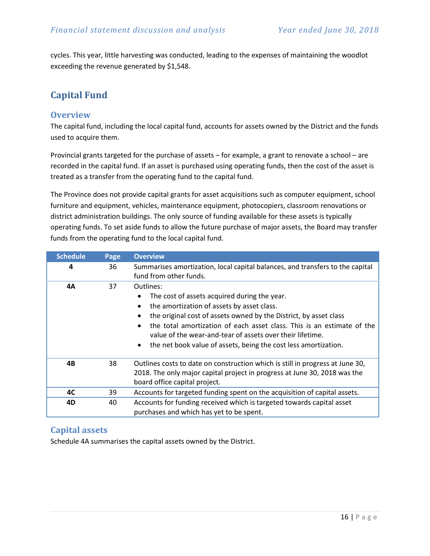cycles. This year, little harvesting was conducted, leading to the expenses of maintaining the woodlot exceeding the revenue generated by \$1,548.

# <span id="page-15-0"></span>**Capital Fund**

#### **Overview**

The capital fund, including the local capital fund, accounts for assets owned by the District and the funds used to acquire them.

Provincial grants targeted for the purchase of assets – for example, a grant to renovate a school – are recorded in the capital fund. If an asset is purchased using operating funds, then the cost of the asset is treated as a transfer from the operating fund to the capital fund.

The Province does not provide capital grants for asset acquisitions such as computer equipment, school furniture and equipment, vehicles, maintenance equipment, photocopiers, classroom renovations or district administration buildings. The only source of funding available for these assets is typically operating funds. To set aside funds to allow the future purchase of major assets, the Board may transfer funds from the operating fund to the local capital fund.

| <b>Schedule</b> | Page | <b>Overview</b>                                                                                                                                                                                                                                                                                                                                                                                                                            |  |
|-----------------|------|--------------------------------------------------------------------------------------------------------------------------------------------------------------------------------------------------------------------------------------------------------------------------------------------------------------------------------------------------------------------------------------------------------------------------------------------|--|
| 4               | 36   | Summarises amortization, local capital balances, and transfers to the capital<br>fund from other funds.                                                                                                                                                                                                                                                                                                                                    |  |
| 4A              | 37   | Outlines:<br>The cost of assets acquired during the year.<br>$\bullet$<br>the amortization of assets by asset class.<br>$\bullet$<br>the original cost of assets owned by the District, by asset class<br>the total amortization of each asset class. This is an estimate of the<br>$\bullet$<br>value of the wear-and-tear of assets over their lifetime.<br>the net book value of assets, being the cost less amortization.<br>$\bullet$ |  |
| 4B              | 38   | Outlines costs to date on construction which is still in progress at June 30,<br>2018. The only major capital project in progress at June 30, 2018 was the<br>board office capital project.                                                                                                                                                                                                                                                |  |
| 4C              | 39   | Accounts for targeted funding spent on the acquisition of capital assets.                                                                                                                                                                                                                                                                                                                                                                  |  |
| 4D              | 40   | Accounts for funding received which is targeted towards capital asset<br>purchases and which has yet to be spent.                                                                                                                                                                                                                                                                                                                          |  |

#### **Capital assets**

Schedule 4A summarises the capital assets owned by the District.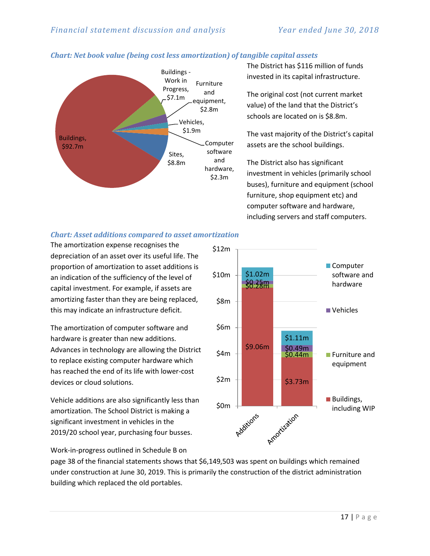

#### *Chart: Net book value (being cost less amortization) of tangible capital assets*

The District has \$116 million of funds invested in its capital infrastructure.

The original cost (not current market value) of the land that the District's schools are located on is \$8.8m.

The vast majority of the District's capital assets are the school buildings.

The District also has significant investment in vehicles (primarily school buses), furniture and equipment (school furniture, shop equipment etc) and computer software and hardware, including servers and staff computers.

#### *Chart: Asset additions compared to asset amortization*

The amortization expense recognises the depreciation of an asset over its useful life. The proportion of amortization to asset additions is an indication of the sufficiency of the level of capital investment. For example, if assets are amortizing faster than they are being replaced, this may indicate an infrastructure deficit.

The amortization of computer software and hardware is greater than new additions. Advances in technology are allowing the District to replace existing computer hardware which has reached the end of its life with lower-cost devices or cloud solutions.

Vehicle additions are also significantly less than amortization. The School District is making a significant investment in vehicles in the 2019/20 school year, purchasing four busses.



Work-in-progress outlined in Schedule B on

page 38 of the financial statements shows that \$6,149,503 was spent on buildings which remained under construction at June 30, 2019. This is primarily the construction of the district administration building which replaced the old portables.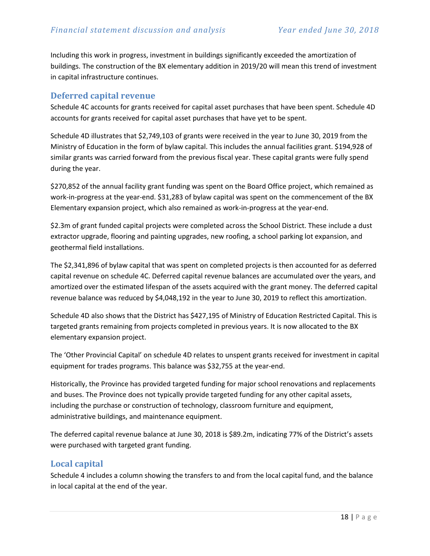Including this work in progress, investment in buildings significantly exceeded the amortization of buildings. The construction of the BX elementary addition in 2019/20 will mean this trend of investment in capital infrastructure continues.

#### **Deferred capital revenue**

Schedule 4C accounts for grants received for capital asset purchases that have been spent. Schedule 4D accounts for grants received for capital asset purchases that have yet to be spent.

Schedule 4D illustrates that \$2,749,103 of grants were received in the year to June 30, 2019 from the Ministry of Education in the form of bylaw capital. This includes the annual facilities grant. \$194,928 of similar grants was carried forward from the previous fiscal year. These capital grants were fully spend during the year.

\$270,852 of the annual facility grant funding was spent on the Board Office project, which remained as work-in-progress at the year-end. \$31,283 of bylaw capital was spent on the commencement of the BX Elementary expansion project, which also remained as work-in-progress at the year-end.

\$2.3m of grant funded capital projects were completed across the School District. These include a dust extractor upgrade, flooring and painting upgrades, new roofing, a school parking lot expansion, and geothermal field installations.

The \$2,341,896 of bylaw capital that was spent on completed projects is then accounted for as deferred capital revenue on schedule 4C. Deferred capital revenue balances are accumulated over the years, and amortized over the estimated lifespan of the assets acquired with the grant money. The deferred capital revenue balance was reduced by \$4,048,192 in the year to June 30, 2019 to reflect this amortization.

Schedule 4D also shows that the District has \$427,195 of Ministry of Education Restricted Capital. This is targeted grants remaining from projects completed in previous years. It is now allocated to the BX elementary expansion project.

The 'Other Provincial Capital' on schedule 4D relates to unspent grants received for investment in capital equipment for trades programs. This balance was \$32,755 at the year-end.

Historically, the Province has provided targeted funding for major school renovations and replacements and buses. The Province does not typically provide targeted funding for any other capital assets, including the purchase or construction of technology, classroom furniture and equipment, administrative buildings, and maintenance equipment.

The deferred capital revenue balance at June 30, 2018 is \$89.2m, indicating 77% of the District's assets were purchased with targeted grant funding.

#### **Local capital**

Schedule 4 includes a column showing the transfers to and from the local capital fund, and the balance in local capital at the end of the year.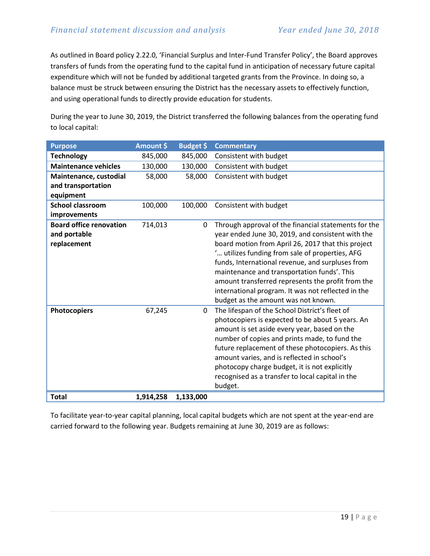As outlined in Board policy 2.22.0, 'Financial Surplus and Inter-Fund Transfer Policy', the Board approves transfers of funds from the operating fund to the capital fund in anticipation of necessary future capital expenditure which will not be funded by additional targeted grants from the Province. In doing so, a balance must be struck between ensuring the District has the necessary assets to effectively function, and using operational funds to directly provide education for students.

During the year to June 30, 2019, the District transferred the following balances from the operating fund to local capital:

| <b>Purpose</b>                 | Amount \$ | Budget \$ | <b>Commentary</b>                                    |
|--------------------------------|-----------|-----------|------------------------------------------------------|
| <b>Technology</b>              | 845,000   | 845,000   | Consistent with budget                               |
| <b>Maintenance vehicles</b>    | 130,000   | 130,000   | Consistent with budget                               |
| Maintenance, custodial         | 58,000    | 58,000    | Consistent with budget                               |
| and transportation             |           |           |                                                      |
| equipment                      |           |           |                                                      |
| <b>School classroom</b>        | 100,000   | 100,000   | Consistent with budget                               |
| improvements                   |           |           |                                                      |
| <b>Board office renovation</b> | 714,013   | 0         | Through approval of the financial statements for the |
| and portable                   |           |           | year ended June 30, 2019, and consistent with the    |
| replacement                    |           |           | board motion from April 26, 2017 that this project   |
|                                |           |           | ' utilizes funding from sale of properties, AFG      |
|                                |           |           | funds, International revenue, and surpluses from     |
|                                |           |           | maintenance and transportation funds'. This          |
|                                |           |           | amount transferred represents the profit from the    |
|                                |           |           | international program. It was not reflected in the   |
|                                |           |           | budget as the amount was not known.                  |
| <b>Photocopiers</b>            | 67,245    | 0         | The lifespan of the School District's fleet of       |
|                                |           |           | photocopiers is expected to be about 5 years. An     |
|                                |           |           | amount is set aside every year, based on the         |
|                                |           |           | number of copies and prints made, to fund the        |
|                                |           |           | future replacement of these photocopiers. As this    |
|                                |           |           | amount varies, and is reflected in school's          |
|                                |           |           | photocopy charge budget, it is not explicitly        |
|                                |           |           | recognised as a transfer to local capital in the     |
|                                |           |           | budget.                                              |
| <b>Total</b>                   | 1,914,258 | 1,133,000 |                                                      |

To facilitate year-to-year capital planning, local capital budgets which are not spent at the year-end are carried forward to the following year. Budgets remaining at June 30, 2019 are as follows: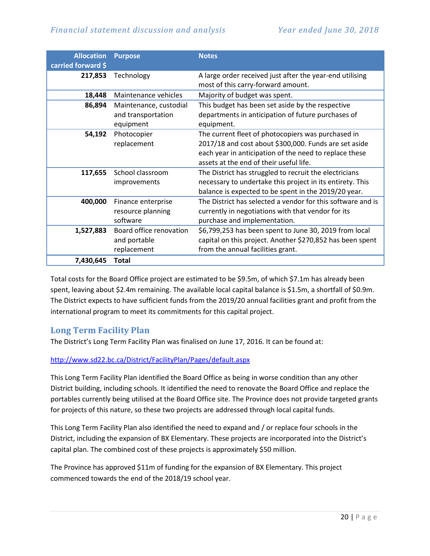#### *Financial statement discussion and analysis Year ended June 30, 2018*

| <b>Allocation</b><br>carried forward \$ | <b>Purpose</b>                                            | <b>Notes</b>                                                                                                                                                                                                     |
|-----------------------------------------|-----------------------------------------------------------|------------------------------------------------------------------------------------------------------------------------------------------------------------------------------------------------------------------|
| 217,853                                 | Technology                                                | A large order received just after the year-end utilising<br>most of this carry-forward amount.                                                                                                                   |
| 18,448                                  | Maintenance vehicles                                      | Majority of budget was spent.                                                                                                                                                                                    |
| 86,894                                  | Maintenance, custodial<br>and transportation<br>equipment | This budget has been set aside by the respective<br>departments in anticipation of future purchases of<br>equipment.                                                                                             |
| 54,192                                  | Photocopier<br>replacement                                | The current fleet of photocopiers was purchased in<br>2017/18 and cost about \$300,000. Funds are set aside<br>each year in anticipation of the need to replace these<br>assets at the end of their useful life. |
| 117,655                                 | School classroom<br>improvements                          | The District has struggled to recruit the electricians<br>necessary to undertake this project in its entirety. This<br>balance is expected to be spent in the 2019/20 year.                                      |
| 400,000                                 | Finance enterprise<br>resource planning<br>software       | The District has selected a vendor for this software and is<br>currently in negotiations with that vendor for its<br>purchase and implementation.                                                                |
| 1,527,883                               | Board office renovation<br>and portable<br>replacement    | \$6,799,253 has been spent to June 30, 2019 from local<br>capital on this project. Another \$270,852 has been spent<br>from the annual facilities grant.                                                         |
| 7,430,645                               | <b>Total</b>                                              |                                                                                                                                                                                                                  |

Total costs for the Board Office project are estimated to be \$9.5m, of which \$7.1m has already been spent, leaving about \$2.4m remaining. The available local capital balance is \$1.5m, a shortfall of \$0.9m. The District expects to have sufficient funds from the 2019/20 annual facilities grant and profit from the international program to meet its commitments for this capital project.

#### **Long Term Facility Plan**

The District's Long Term Facility Plan was finalised on June 17, 2016. It can be found at:

#### <http://www.sd22.bc.ca/District/FacilityPlan/Pages/default.aspx>

This Long Term Facility Plan identified the Board Office as being in worse condition than any other District building, including schools. It identified the need to renovate the Board Office and replace the portables currently being utilised at the Board Office site. The Province does not provide targeted grants for projects of this nature, so these two projects are addressed through local capital funds.

This Long Term Facility Plan also identified the need to expand and / or replace four schools in the District, including the expansion of BX Elementary. These projects are incorporated into the District's capital plan. The combined cost of these projects is approximately \$50 million.

The Province has approved \$11m of funding for the expansion of BX Elementary. This project commenced towards the end of the 2018/19 school year.